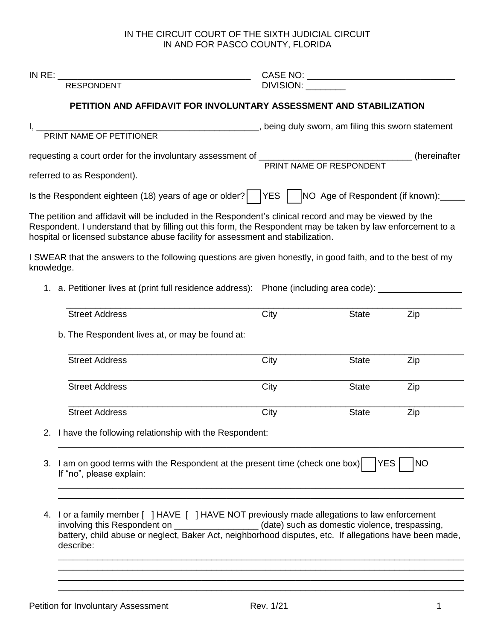## IN THE CIRCUIT COURT OF THE SIXTH JUDICIAL CIRCUIT IN AND FOR PASCO COUNTY, FLORIDA

|                                                                                                                                                                                                                                |                                                                                                                                                                                                                                                                                                                     | <b>RESPONDENT</b>                                                                                                                                                                                                                                                                                          | DIVISION:                                                                                               |              |     |  |  |
|--------------------------------------------------------------------------------------------------------------------------------------------------------------------------------------------------------------------------------|---------------------------------------------------------------------------------------------------------------------------------------------------------------------------------------------------------------------------------------------------------------------------------------------------------------------|------------------------------------------------------------------------------------------------------------------------------------------------------------------------------------------------------------------------------------------------------------------------------------------------------------|---------------------------------------------------------------------------------------------------------|--------------|-----|--|--|
|                                                                                                                                                                                                                                |                                                                                                                                                                                                                                                                                                                     | PETITION AND AFFIDAVIT FOR INVOLUNTARY ASSESSMENT AND STABILIZATION                                                                                                                                                                                                                                        |                                                                                                         |              |     |  |  |
| I, PRINT NAME OF PETITIONER performance the statement of the statement of the SWO of the SWO of the SWO of the SWO of the SWO of the SWO of the SWO of the SWO of the SWO of the SWO of the SWO of the SWO of the SWO of the S |                                                                                                                                                                                                                                                                                                                     |                                                                                                                                                                                                                                                                                                            |                                                                                                         |              |     |  |  |
| requesting a court order for the involuntary assessment of _________________________________(hereinafter<br>PRINT NAME OF RESPONDENT                                                                                           |                                                                                                                                                                                                                                                                                                                     |                                                                                                                                                                                                                                                                                                            |                                                                                                         |              |     |  |  |
|                                                                                                                                                                                                                                |                                                                                                                                                                                                                                                                                                                     | referred to as Respondent).                                                                                                                                                                                                                                                                                |                                                                                                         |              |     |  |  |
|                                                                                                                                                                                                                                |                                                                                                                                                                                                                                                                                                                     |                                                                                                                                                                                                                                                                                                            | Is the Respondent eighteen (18) years of age or older?    YES    NO Age of Respondent (if known): _____ |              |     |  |  |
|                                                                                                                                                                                                                                |                                                                                                                                                                                                                                                                                                                     | The petition and affidavit will be included in the Respondent's clinical record and may be viewed by the<br>Respondent. I understand that by filling out this form, the Respondent may be taken by law enforcement to a<br>hospital or licensed substance abuse facility for assessment and stabilization. |                                                                                                         |              |     |  |  |
| knowledge.                                                                                                                                                                                                                     |                                                                                                                                                                                                                                                                                                                     | I SWEAR that the answers to the following questions are given honestly, in good faith, and to the best of my                                                                                                                                                                                               |                                                                                                         |              |     |  |  |
|                                                                                                                                                                                                                                |                                                                                                                                                                                                                                                                                                                     | 1. a. Petitioner lives at (print full residence address): Phone (including area code): _____________                                                                                                                                                                                                       |                                                                                                         |              |     |  |  |
|                                                                                                                                                                                                                                |                                                                                                                                                                                                                                                                                                                     | <b>Street Address</b>                                                                                                                                                                                                                                                                                      | City                                                                                                    | State        | Zip |  |  |
|                                                                                                                                                                                                                                |                                                                                                                                                                                                                                                                                                                     | b. The Respondent lives at, or may be found at:                                                                                                                                                                                                                                                            |                                                                                                         |              |     |  |  |
|                                                                                                                                                                                                                                |                                                                                                                                                                                                                                                                                                                     | <b>Street Address</b>                                                                                                                                                                                                                                                                                      | City                                                                                                    | <b>State</b> | Zip |  |  |
|                                                                                                                                                                                                                                |                                                                                                                                                                                                                                                                                                                     | <b>Street Address</b>                                                                                                                                                                                                                                                                                      | City                                                                                                    | <b>State</b> | Zip |  |  |
|                                                                                                                                                                                                                                |                                                                                                                                                                                                                                                                                                                     | <b>Street Address</b>                                                                                                                                                                                                                                                                                      | City                                                                                                    | <b>State</b> | Zip |  |  |
|                                                                                                                                                                                                                                |                                                                                                                                                                                                                                                                                                                     | 2. I have the following relationship with the Respondent:                                                                                                                                                                                                                                                  |                                                                                                         |              |     |  |  |
|                                                                                                                                                                                                                                |                                                                                                                                                                                                                                                                                                                     | 3. I am on good terms with the Respondent at the present time (check one box)<br><b>YES</b><br><b>NO</b><br>If "no", please explain:                                                                                                                                                                       |                                                                                                         |              |     |  |  |
|                                                                                                                                                                                                                                |                                                                                                                                                                                                                                                                                                                     |                                                                                                                                                                                                                                                                                                            |                                                                                                         |              |     |  |  |
|                                                                                                                                                                                                                                | 4. I or a family member [ ] HAVE [ ] HAVE NOT previously made allegations to law enforcement<br>involving this Respondent on _________________(date) such as domestic violence, trespassing,<br>battery, child abuse or neglect, Baker Act, neighborhood disputes, etc. If allegations have been made,<br>describe: |                                                                                                                                                                                                                                                                                                            |                                                                                                         |              |     |  |  |
|                                                                                                                                                                                                                                |                                                                                                                                                                                                                                                                                                                     |                                                                                                                                                                                                                                                                                                            |                                                                                                         |              |     |  |  |
|                                                                                                                                                                                                                                |                                                                                                                                                                                                                                                                                                                     |                                                                                                                                                                                                                                                                                                            |                                                                                                         |              |     |  |  |
|                                                                                                                                                                                                                                |                                                                                                                                                                                                                                                                                                                     |                                                                                                                                                                                                                                                                                                            |                                                                                                         |              |     |  |  |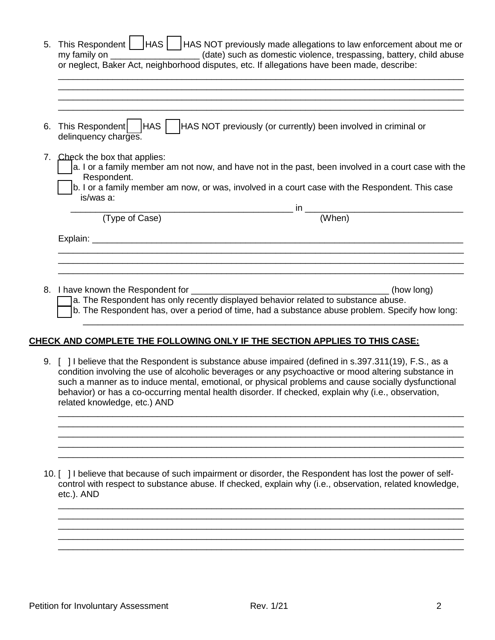| 5. | This Respondent   HAS   HAS NOT previously made allegations to law enforcement about me or<br>my family on ____________________(date) such as domestic violence, trespassing, battery, child abuse                                                                 |  |  |  |  |  |
|----|--------------------------------------------------------------------------------------------------------------------------------------------------------------------------------------------------------------------------------------------------------------------|--|--|--|--|--|
|    | or neglect, Baker Act, neighborhood disputes, etc. If allegations have been made, describe:                                                                                                                                                                        |  |  |  |  |  |
|    |                                                                                                                                                                                                                                                                    |  |  |  |  |  |
|    |                                                                                                                                                                                                                                                                    |  |  |  |  |  |
| 6. | This Respondent   HAS   HAS NOT previously (or currently) been involved in criminal or<br>delinquency charges.                                                                                                                                                     |  |  |  |  |  |
| 7. | Check the box that applies:<br>a. I or a family member am not now, and have not in the past, been involved in a court case with the<br>Respondent.<br>b. I or a family member am now, or was, involved in a court case with the Respondent. This case<br>is/was a: |  |  |  |  |  |
|    |                                                                                                                                                                                                                                                                    |  |  |  |  |  |
|    | $\overline{\text{(When)}}$<br>(Type of Case)                                                                                                                                                                                                                       |  |  |  |  |  |
|    | Explain: ____                                                                                                                                                                                                                                                      |  |  |  |  |  |
|    |                                                                                                                                                                                                                                                                    |  |  |  |  |  |
|    | 8. I have known the Respondent for<br>(how long)                                                                                                                                                                                                                   |  |  |  |  |  |
|    | a. The Respondent has only recently displayed behavior related to substance abuse.                                                                                                                                                                                 |  |  |  |  |  |

[ ] b. The Respondent has, over a period of time, had a substance abuse problem. Specify how long: \_\_\_\_\_\_\_\_\_\_\_\_\_\_\_\_\_\_\_\_\_\_\_\_\_\_\_\_\_\_\_\_\_\_\_\_\_\_\_\_\_\_\_\_\_\_\_\_\_\_\_\_\_\_\_\_\_\_\_\_\_\_\_\_\_\_\_\_\_\_\_\_\_\_\_\_\_

## **CHECK AND COMPLETE THE FOLLOWING ONLY IF THE SECTION APPLIES TO THIS CASE:**

9. [ ] I believe that the Respondent is substance abuse impaired (defined in s.397.311(19), F.S., as a condition involving the use of alcoholic beverages or any psychoactive or mood altering substance in such a manner as to induce mental, emotional, or physical problems and cause socially dysfunctional behavior) or has a co-occurring mental health disorder. If checked, explain why (i.e., observation, related knowledge, etc.) AND

\_\_\_\_\_\_\_\_\_\_\_\_\_\_\_\_\_\_\_\_\_\_\_\_\_\_\_\_\_\_\_\_\_\_\_\_\_\_\_\_\_\_\_\_\_\_\_\_\_\_\_\_\_\_\_\_\_\_\_\_\_\_\_\_\_\_\_\_\_\_\_\_\_\_\_\_\_\_\_\_\_\_ \_\_\_\_\_\_\_\_\_\_\_\_\_\_\_\_\_\_\_\_\_\_\_\_\_\_\_\_\_\_\_\_\_\_\_\_\_\_\_\_\_\_\_\_\_\_\_\_\_\_\_\_\_\_\_\_\_\_\_\_\_\_\_\_\_\_\_\_\_\_\_\_\_\_\_\_\_\_\_\_\_\_ \_\_\_\_\_\_\_\_\_\_\_\_\_\_\_\_\_\_\_\_\_\_\_\_\_\_\_\_\_\_\_\_\_\_\_\_\_\_\_\_\_\_\_\_\_\_\_\_\_\_\_\_\_\_\_\_\_\_\_\_\_\_\_\_\_\_\_\_\_\_\_\_\_\_\_\_\_\_\_\_\_\_ \_\_\_\_\_\_\_\_\_\_\_\_\_\_\_\_\_\_\_\_\_\_\_\_\_\_\_\_\_\_\_\_\_\_\_\_\_\_\_\_\_\_\_\_\_\_\_\_\_\_\_\_\_\_\_\_\_\_\_\_\_\_\_\_\_\_\_\_\_\_\_\_\_\_\_\_\_\_\_\_\_\_ \_\_\_\_\_\_\_\_\_\_\_\_\_\_\_\_\_\_\_\_\_\_\_\_\_\_\_\_\_\_\_\_\_\_\_\_\_\_\_\_\_\_\_\_\_\_\_\_\_\_\_\_\_\_\_\_\_\_\_\_\_\_\_\_\_\_\_\_\_\_\_\_\_\_\_\_\_\_\_\_\_\_

10. [ ] I believe that because of such impairment or disorder, the Respondent has lost the power of selfcontrol with respect to substance abuse. If checked, explain why (i.e., observation, related knowledge, etc.). AND

\_\_\_\_\_\_\_\_\_\_\_\_\_\_\_\_\_\_\_\_\_\_\_\_\_\_\_\_\_\_\_\_\_\_\_\_\_\_\_\_\_\_\_\_\_\_\_\_\_\_\_\_\_\_\_\_\_\_\_\_\_\_\_\_\_\_\_\_\_\_\_\_\_\_\_\_\_\_\_\_\_\_ \_\_\_\_\_\_\_\_\_\_\_\_\_\_\_\_\_\_\_\_\_\_\_\_\_\_\_\_\_\_\_\_\_\_\_\_\_\_\_\_\_\_\_\_\_\_\_\_\_\_\_\_\_\_\_\_\_\_\_\_\_\_\_\_\_\_\_\_\_\_\_\_\_\_\_\_\_\_\_\_\_\_ \_\_\_\_\_\_\_\_\_\_\_\_\_\_\_\_\_\_\_\_\_\_\_\_\_\_\_\_\_\_\_\_\_\_\_\_\_\_\_\_\_\_\_\_\_\_\_\_\_\_\_\_\_\_\_\_\_\_\_\_\_\_\_\_\_\_\_\_\_\_\_\_\_\_\_\_\_\_\_\_\_\_ \_\_\_\_\_\_\_\_\_\_\_\_\_\_\_\_\_\_\_\_\_\_\_\_\_\_\_\_\_\_\_\_\_\_\_\_\_\_\_\_\_\_\_\_\_\_\_\_\_\_\_\_\_\_\_\_\_\_\_\_\_\_\_\_\_\_\_\_\_\_\_\_\_\_\_\_\_\_\_\_\_\_ \_\_\_\_\_\_\_\_\_\_\_\_\_\_\_\_\_\_\_\_\_\_\_\_\_\_\_\_\_\_\_\_\_\_\_\_\_\_\_\_\_\_\_\_\_\_\_\_\_\_\_\_\_\_\_\_\_\_\_\_\_\_\_\_\_\_\_\_\_\_\_\_\_\_\_\_\_\_\_\_\_\_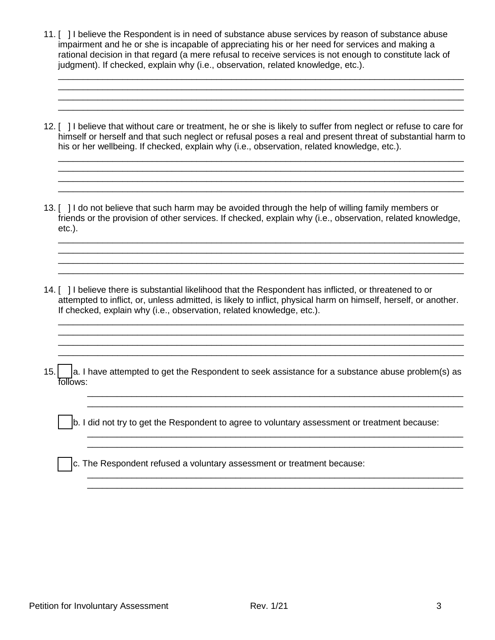- 11. [ ] I believe the Respondent is in need of substance abuse services by reason of substance abuse impairment and he or she is incapable of appreciating his or her need for services and making a rational decision in that regard (a mere refusal to receive services is not enough to constitute lack of judgment). If checked, explain why (i.e., observation, related knowledge, etc.).
- 12. [ ] I believe that without care or treatment, he or she is likely to suffer from neglect or refuse to care for himself or herself and that such neglect or refusal poses a real and present threat of substantial harm to his or her wellbeing. If checked, explain why (i.e., observation, related knowledge, etc.).

\_\_\_\_\_\_\_\_\_\_\_\_\_\_\_\_\_\_\_\_\_\_\_\_\_\_\_\_\_\_\_\_\_\_\_\_\_\_\_\_\_\_\_\_\_\_\_\_\_\_\_\_\_\_\_\_\_\_\_\_\_\_\_\_\_\_\_\_\_\_\_\_\_\_\_\_\_\_\_\_\_\_ \_\_\_\_\_\_\_\_\_\_\_\_\_\_\_\_\_\_\_\_\_\_\_\_\_\_\_\_\_\_\_\_\_\_\_\_\_\_\_\_\_\_\_\_\_\_\_\_\_\_\_\_\_\_\_\_\_\_\_\_\_\_\_\_\_\_\_\_\_\_\_\_\_\_\_\_\_\_\_\_\_\_

\_\_\_\_\_\_\_\_\_\_\_\_\_\_\_\_\_\_\_\_\_\_\_\_\_\_\_\_\_\_\_\_\_\_\_\_\_\_\_\_\_\_\_\_\_\_\_\_\_\_\_\_\_\_\_\_\_\_\_\_\_\_\_\_\_\_\_\_\_\_\_\_\_\_\_\_\_\_\_\_\_\_

\_\_\_\_\_\_\_\_\_\_\_\_\_\_\_\_\_\_\_\_\_\_\_\_\_\_\_\_\_\_\_\_\_\_\_\_\_\_\_\_\_\_\_\_\_\_\_\_\_\_\_\_\_\_\_\_\_\_\_\_\_\_\_\_\_\_\_\_\_\_\_\_\_\_\_\_\_\_\_\_\_\_ \_\_\_\_\_\_\_\_\_\_\_\_\_\_\_\_\_\_\_\_\_\_\_\_\_\_\_\_\_\_\_\_\_\_\_\_\_\_\_\_\_\_\_\_\_\_\_\_\_\_\_\_\_\_\_\_\_\_\_\_\_\_\_\_\_\_\_\_\_\_\_\_\_\_\_\_\_\_\_\_\_\_

\_\_\_\_\_\_\_\_\_\_\_\_\_\_\_\_\_\_\_\_\_\_\_\_\_\_\_\_\_\_\_\_\_\_\_\_\_\_\_\_\_\_\_\_\_\_\_\_\_\_\_\_\_\_\_\_\_\_\_\_\_\_\_\_\_\_\_\_\_\_\_\_\_\_\_\_\_\_\_\_\_\_

\_\_\_\_\_\_\_\_\_\_\_\_\_\_\_\_\_\_\_\_\_\_\_\_\_\_\_\_\_\_\_\_\_\_\_\_\_\_\_\_\_\_\_\_\_\_\_\_\_\_\_\_\_\_\_\_\_\_\_\_\_\_\_\_\_\_\_\_\_\_\_\_\_\_\_\_\_\_\_\_\_\_ \_\_\_\_\_\_\_\_\_\_\_\_\_\_\_\_\_\_\_\_\_\_\_\_\_\_\_\_\_\_\_\_\_\_\_\_\_\_\_\_\_\_\_\_\_\_\_\_\_\_\_\_\_\_\_\_\_\_\_\_\_\_\_\_\_\_\_\_\_\_\_\_\_\_\_\_\_\_\_\_\_\_ \_\_\_\_\_\_\_\_\_\_\_\_\_\_\_\_\_\_\_\_\_\_\_\_\_\_\_\_\_\_\_\_\_\_\_\_\_\_\_\_\_\_\_\_\_\_\_\_\_\_\_\_\_\_\_\_\_\_\_\_\_\_\_\_\_\_\_\_\_\_\_\_\_\_\_\_\_\_\_\_\_\_

\_\_\_\_\_\_\_\_\_\_\_\_\_\_\_\_\_\_\_\_\_\_\_\_\_\_\_\_\_\_\_\_\_\_\_\_\_\_\_\_\_\_\_\_\_\_\_\_\_\_\_\_\_\_\_\_\_\_\_\_\_\_\_\_\_\_\_\_\_\_\_\_\_\_\_\_\_\_\_\_\_\_ \_\_\_\_\_\_\_\_\_\_\_\_\_\_\_\_\_\_\_\_\_\_\_\_\_\_\_\_\_\_\_\_\_\_\_\_\_\_\_\_\_\_\_\_\_\_\_\_\_\_\_\_\_\_\_\_\_\_\_\_\_\_\_\_\_\_\_\_\_\_\_\_\_\_\_\_\_\_\_\_\_\_ \_\_\_\_\_\_\_\_\_\_\_\_\_\_\_\_\_\_\_\_\_\_\_\_\_\_\_\_\_\_\_\_\_\_\_\_\_\_\_\_\_\_\_\_\_\_\_\_\_\_\_\_\_\_\_\_\_\_\_\_\_\_\_\_\_\_\_\_\_\_\_\_\_\_\_\_\_\_\_\_\_\_

- 13. [ ] I do not believe that such harm may be avoided through the help of willing family members or friends or the provision of other services. If checked, explain why (i.e., observation, related knowledge, etc.).
- 14. [ ] I believe there is substantial likelihood that the Respondent has inflicted, or threatened to or attempted to inflict, or, unless admitted, is likely to inflict, physical harm on himself, herself, or another. If checked, explain why (i.e., observation, related knowledge, etc.).
- 15.  $\vert$  a. I have attempted to get the Respondent to seek assistance for a substance abuse problem(s) as follows:

\_\_\_\_\_\_\_\_\_\_\_\_\_\_\_\_\_\_\_\_\_\_\_\_\_\_\_\_\_\_\_\_\_\_\_\_\_\_\_\_\_\_\_\_\_\_\_\_\_\_\_\_\_\_\_\_\_\_\_\_\_\_\_\_\_\_\_\_\_\_\_\_\_\_\_\_ \_\_\_\_\_\_\_\_\_\_\_\_\_\_\_\_\_\_\_\_\_\_\_\_\_\_\_\_\_\_\_\_\_\_\_\_\_\_\_\_\_\_\_\_\_\_\_\_\_\_\_\_\_\_\_\_\_\_\_\_\_\_\_\_\_\_\_\_\_\_\_\_\_\_\_\_

\_\_\_\_\_\_\_\_\_\_\_\_\_\_\_\_\_\_\_\_\_\_\_\_\_\_\_\_\_\_\_\_\_\_\_\_\_\_\_\_\_\_\_\_\_\_\_\_\_\_\_\_\_\_\_\_\_\_\_\_\_\_\_\_\_\_\_\_\_\_\_\_\_\_\_\_ \_\_\_\_\_\_\_\_\_\_\_\_\_\_\_\_\_\_\_\_\_\_\_\_\_\_\_\_\_\_\_\_\_\_\_\_\_\_\_\_\_\_\_\_\_\_\_\_\_\_\_\_\_\_\_\_\_\_\_\_\_\_\_\_\_\_\_\_\_\_\_\_\_\_\_\_

\_\_\_\_\_\_\_\_\_\_\_\_\_\_\_\_\_\_\_\_\_\_\_\_\_\_\_\_\_\_\_\_\_\_\_\_\_\_\_\_\_\_\_\_\_\_\_\_\_\_\_\_\_\_\_\_\_\_\_\_\_\_\_\_\_\_\_\_\_\_\_\_\_\_\_\_

 $|$ b. I did not try to get the Respondent to agree to voluntary assessment or treatment because:

c. The Respondent refused a voluntary assessment or treatment because: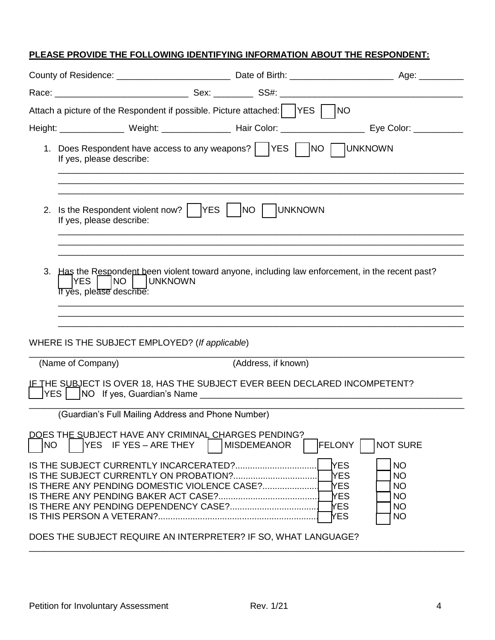## **PLEASE PROVIDE THE FOLLOWING IDENTIFYING INFORMATION ABOUT THE RESPONDENT:**

| Attach a picture of the Respondent if possible. Picture attached:   YES  <br> NO                            |                                                                                                                                                            |                     |                                                                                                                                                                                                 |  |  |  |  |
|-------------------------------------------------------------------------------------------------------------|------------------------------------------------------------------------------------------------------------------------------------------------------------|---------------------|-------------------------------------------------------------------------------------------------------------------------------------------------------------------------------------------------|--|--|--|--|
|                                                                                                             |                                                                                                                                                            |                     | Height: ________________ Weight: _________________ Hair Color: __________________ Eye Color: ____________                                                                                       |  |  |  |  |
|                                                                                                             | 1. Does Respondent have access to any weapons?     YES     NO     UNKNOWN<br>If yes, please describe:                                                      |                     |                                                                                                                                                                                                 |  |  |  |  |
| 2. Is the Respondent violent now?       YES  <br><b>UNKNOWN</b><br>$NO$ $\vert$<br>If yes, please describe: |                                                                                                                                                            |                     |                                                                                                                                                                                                 |  |  |  |  |
| lyes l                                                                                                      | 3. Has the Respondent been violent toward anyone, including law enforcement, in the recent past?<br>  INO  <br><b>JUNKNOWN</b><br>If yes, please describe: |                     |                                                                                                                                                                                                 |  |  |  |  |
|                                                                                                             | WHERE IS THE SUBJECT EMPLOYED? (If applicable)                                                                                                             |                     |                                                                                                                                                                                                 |  |  |  |  |
| (Name of Company)                                                                                           |                                                                                                                                                            | (Address, if known) |                                                                                                                                                                                                 |  |  |  |  |
|                                                                                                             | IE THE SUBJECT IS OVER 18, HAS THE SUBJECT EVER BEEN DECLARED INCOMPETENT?                                                                                 |                     |                                                                                                                                                                                                 |  |  |  |  |
|                                                                                                             | (Guardian's Full Mailing Address and Phone Number)                                                                                                         |                     |                                                                                                                                                                                                 |  |  |  |  |
| NO                                                                                                          | DOES THE SUBJECT HAVE ANY CRIMINAL CHARGES PENDING?<br>YES IF YES - ARE THEY                                                                               | <b>MISDEMEANOR</b>  | <b>FELONY</b>  <br><b>NOT SURE</b><br><b>NES</b><br><b>NO</b><br><b>YES</b><br><b>NO</b><br>TYES.<br><b>NO</b><br><b>YES</b><br><b>NO</b><br><b>YES</b><br><b>NO</b><br><b>YES</b><br><b>NO</b> |  |  |  |  |
| DOES THE SUBJECT REQUIRE AN INTERPRETER? IF SO, WHAT LANGUAGE?                                              |                                                                                                                                                            |                     |                                                                                                                                                                                                 |  |  |  |  |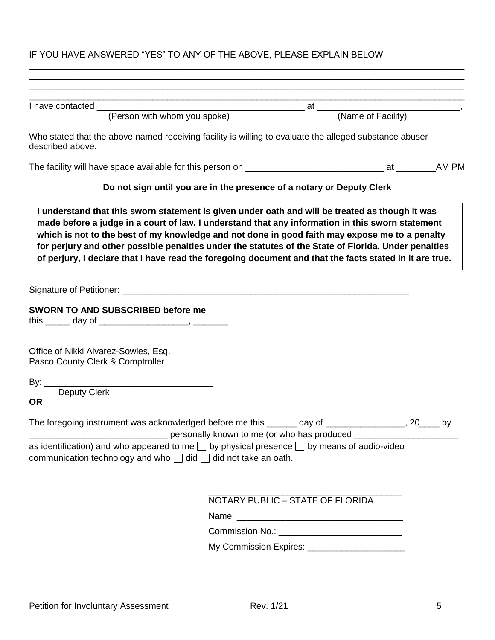## IF YOU HAVE ANSWERED "YES" TO ANY OF THE ABOVE, PLEASE EXPLAIN BELOW

\_\_\_\_\_\_\_\_\_\_\_\_\_\_\_\_\_\_\_\_\_\_\_\_\_\_\_\_\_\_\_\_\_\_\_\_\_\_\_\_\_\_\_\_\_\_\_\_\_\_\_\_\_\_\_\_\_\_\_\_\_\_\_\_\_\_\_\_\_\_\_\_\_\_\_\_\_\_\_\_\_\_\_\_\_\_\_\_

| Who stated that the above named receiving facility is willing to evaluate the alleged substance abuser<br>described above.                                                                                                     |                                                                                                                                                                                                                                                                                                                                                                                                                       |  |
|--------------------------------------------------------------------------------------------------------------------------------------------------------------------------------------------------------------------------------|-----------------------------------------------------------------------------------------------------------------------------------------------------------------------------------------------------------------------------------------------------------------------------------------------------------------------------------------------------------------------------------------------------------------------|--|
|                                                                                                                                                                                                                                |                                                                                                                                                                                                                                                                                                                                                                                                                       |  |
|                                                                                                                                                                                                                                | Do not sign until you are in the presence of a notary or Deputy Clerk                                                                                                                                                                                                                                                                                                                                                 |  |
|                                                                                                                                                                                                                                | made before a judge in a court of law. I understand that any information in this sworn statement<br>which is not to the best of my knowledge and not done in good faith may expose me to a penalty<br>for perjury and other possible penalties under the statutes of the State of Florida. Under penalties<br>of perjury, I declare that I have read the foregoing document and that the facts stated in it are true. |  |
| Signature of Petitioner: Letter and Contract and Contract and Contract and Contract and Contract and Contract and Contract and Contract and Contract and Contract and Contract and Contract and Contract and Contract and Cont |                                                                                                                                                                                                                                                                                                                                                                                                                       |  |
| <b>SWORN TO AND SUBSCRIBED before me</b><br>Office of Nikki Alvarez-Sowles, Esq.                                                                                                                                               |                                                                                                                                                                                                                                                                                                                                                                                                                       |  |
| Pasco County Clerk & Comptroller                                                                                                                                                                                               |                                                                                                                                                                                                                                                                                                                                                                                                                       |  |
|                                                                                                                                                                                                                                |                                                                                                                                                                                                                                                                                                                                                                                                                       |  |
| <b>Deputy Clerk</b><br><b>OR</b>                                                                                                                                                                                               |                                                                                                                                                                                                                                                                                                                                                                                                                       |  |
| The foregoing instrument was acknowledged before me this ______ day of _______________, 20____ by<br>as identification) and who appeared to me $\Box$ by physical presence $\Box$ by means of audio-video                      |                                                                                                                                                                                                                                                                                                                                                                                                                       |  |
| communication technology and who $\Box$ did $\Box$ did not take an oath.                                                                                                                                                       |                                                                                                                                                                                                                                                                                                                                                                                                                       |  |
|                                                                                                                                                                                                                                |                                                                                                                                                                                                                                                                                                                                                                                                                       |  |
|                                                                                                                                                                                                                                | NOTARY PUBLIC - STATE OF FLORIDA                                                                                                                                                                                                                                                                                                                                                                                      |  |
|                                                                                                                                                                                                                                |                                                                                                                                                                                                                                                                                                                                                                                                                       |  |
|                                                                                                                                                                                                                                | Commission No.: ______________________________<br>My Commission Expires: ________________________                                                                                                                                                                                                                                                                                                                     |  |
|                                                                                                                                                                                                                                |                                                                                                                                                                                                                                                                                                                                                                                                                       |  |